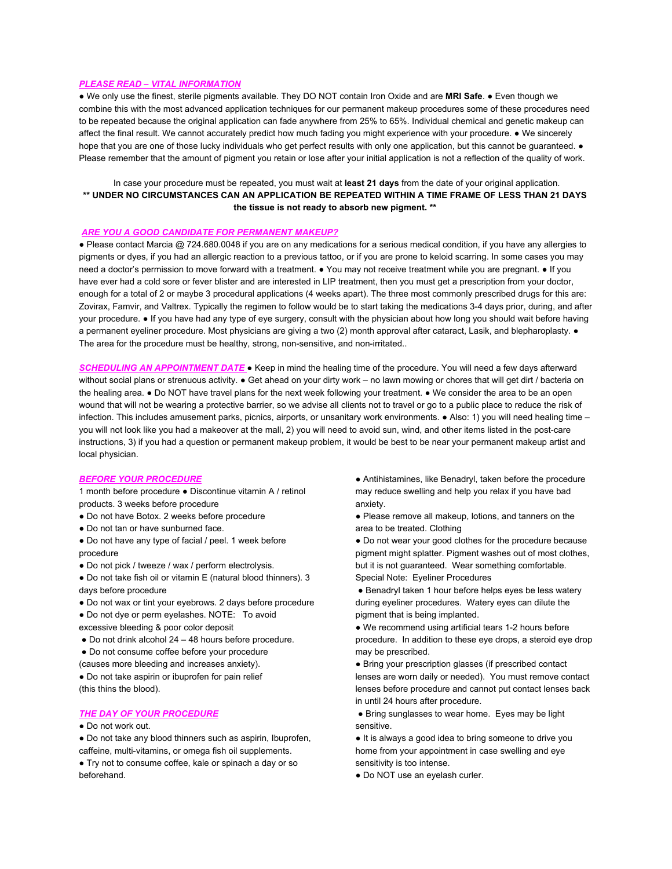## *PLEASE READ – VITAL INFORMATION*

● We only use the finest, sterile pigments available. They DO NOT contain Iron Oxide and are **MRI Safe**. ● Even though we combine this with the most advanced application techniques for our permanent makeup procedures some of these procedures need to be repeated because the original application can fade anywhere from 25% to 65%. Individual chemical and genetic makeup can affect the final result. We cannot accurately predict how much fading you might experience with your procedure. ● We sincerely hope that you are one of those lucky individuals who get perfect results with only one application, but this cannot be guaranteed.  $\bullet$ Please remember that the amount of pigment you retain or lose after your initial application is not a reflection of the quality of work.

# In case your procedure must be repeated, you must wait at **least 21 days** from the date of your original application. **\*\* UNDER NO CIRCUMSTANCES CAN AN APPLICATION BE REPEATED WITHIN A TIME FRAME OF LESS THAN 21 DAYS the tissue is not ready to absorb new pigment. \*\***

#### *ARE YOU A GOOD CANDIDATE FOR PERMANENT MAKEUP?*

● Please contact Marcia @ 724.680.0048 if you are on any medications for a serious medical condition, if you have any allergies to pigments or dyes, if you had an allergic reaction to a previous tattoo, or if you are prone to keloid scarring. In some cases you may need a doctor's permission to move forward with a treatment. • You may not receive treatment while you are pregnant. • If you have ever had a cold sore or fever blister and are interested in LIP treatment, then you must get a prescription from your doctor, enough for a total of 2 or maybe 3 procedural applications (4 weeks apart). The three most commonly prescribed drugs for this are: Zovirax, Famvir, and Valtrex. Typically the regimen to follow would be to start taking the medications 3-4 days prior, during, and after your procedure. ● If you have had any type of eye surgery, consult with the physician about how long you should wait before having a permanent eyeliner procedure. Most physicians are giving a two (2) month approval after cataract, Lasik, and blepharoplasty. ● The area for the procedure must be healthy, strong, non-sensitive, and non-irritated..

*SCHEDULING AN APPOINTMENT DATE* ● Keep in mind the healing time of the procedure. You will need a few days afterward without social plans or strenuous activity. ● Get ahead on your dirty work – no lawn mowing or chores that will get dirt / bacteria on the healing area. ● Do NOT have travel plans for the next week following your treatment. ● We consider the area to be an open wound that will not be wearing a protective barrier, so we advise all clients not to travel or go to a public place to reduce the risk of infection. This includes amusement parks, picnics, airports, or unsanitary work environments. ● Also: 1) you will need healing time – you will not look like you had a makeover at the mall, 2) you will need to avoid sun, wind, and other items listed in the post-care instructions, 3) if you had a question or permanent makeup problem, it would be best to be near your permanent makeup artist and local physician.

## *BEFORE YOUR PROCEDURE*

1 month before procedure ● Discontinue vitamin A / retinol products. 3 weeks before procedure

- Do not have Botox. 2 weeks before procedure
- Do not tan or have sunburned face.
- Do not have any type of facial / peel. 1 week before procedure
- Do not pick / tweeze / wax / perform electrolysis.

● Do not take fish oil or vitamin E (natural blood thinners). 3 days before procedure

- Do not wax or tint your eyebrows. 2 days before procedure
- Do not dye or perm eyelashes. NOTE: To avoid excessive bleeding & poor color deposit

 $\bullet$  Do not drink alcohol 24 – 48 hours before procedure.

- Do not consume coffee before your procedure
- (causes more bleeding and increases anxiety).
- Do not take aspirin or ibuprofen for pain relief (this thins the blood).

## *THE DAY OF YOUR PROCEDURE*

● Do not work out.

• Do not take any blood thinners such as aspirin, Ibuprofen, caffeine, multi-vitamins, or omega fish oil supplements.

● Try not to consume coffee, kale or spinach a day or so beforehand.

● Antihistamines, like Benadryl, taken before the procedure may reduce swelling and help you relax if you have bad anxiety.

● Please remove all makeup, lotions, and tanners on the area to be treated. Clothing

• Do not wear your good clothes for the procedure because pigment might splatter. Pigment washes out of most clothes, but it is not guaranteed. Wear something comfortable. Special Note: Eyeliner Procedures

• Benadryl taken 1 hour before helps eyes be less watery during eyeliner procedures. Watery eyes can dilute the pigment that is being implanted.

● We recommend using artificial tears 1-2 hours before procedure. In addition to these eye drops, a steroid eye drop may be prescribed.

● Bring your prescription glasses (if prescribed contact lenses are worn daily or needed). You must remove contact lenses before procedure and cannot put contact lenses back in until 24 hours after procedure.

• Bring sunglasses to wear home. Eyes may be light sensitive.

● It is always a good idea to bring someone to drive you home from your appointment in case swelling and eye sensitivity is too intense.

● Do NOT use an eyelash curler.